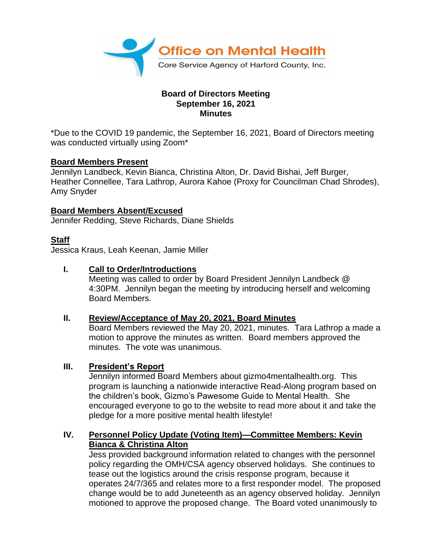

#### **Board of Directors Meeting September 16, 2021 Minutes**

\*Due to the COVID 19 pandemic, the September 16, 2021, Board of Directors meeting was conducted virtually using Zoom\*

#### **Board Members Present**

Jennilyn Landbeck, Kevin Bianca, Christina Alton, Dr. David Bishai, Jeff Burger, Heather Connellee, Tara Lathrop, Aurora Kahoe (Proxy for Councilman Chad Shrodes), Amy Snyder

# **Board Members Absent/Excused**

Jennifer Redding, Steve Richards, Diane Shields

# **Staff**

Jessica Kraus, Leah Keenan, Jamie Miller

# **I. Call to Order/Introductions**

Meeting was called to order by Board President Jennilyn Landbeck @ 4:30PM. Jennilyn began the meeting by introducing herself and welcoming Board Members.

#### **II. Review/Acceptance of May 20, 2021, Board Minutes**

Board Members reviewed the May 20, 2021, minutes. Tara Lathrop a made a motion to approve the minutes as written. Board members approved the minutes. The vote was unanimous.

#### **III. President's Report**

Jennilyn informed Board Members about gizmo4mentalhealth.org. This program is launching a nationwide interactive Read-Along program based on the children's book, Gizmo's Pawesome Guide to Mental Health. She encouraged everyone to go to the website to read more about it and take the pledge for a more positive mental health lifestyle!

# **IV. Personnel Policy Update (Voting Item)—Committee Members: Kevin Bianca & Christina Alton**

Jess provided background information related to changes with the personnel policy regarding the OMH/CSA agency observed holidays. She continues to tease out the logistics around the crisis response program, because it operates 24/7/365 and relates more to a first responder model. The proposed change would be to add Juneteenth as an agency observed holiday. Jennilyn motioned to approve the proposed change. The Board voted unanimously to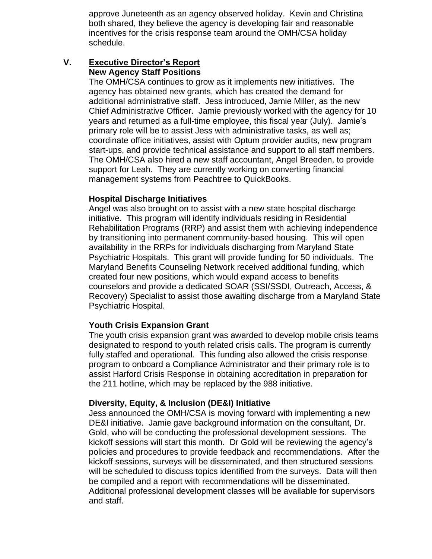approve Juneteenth as an agency observed holiday. Kevin and Christina both shared, they believe the agency is developing fair and reasonable incentives for the crisis response team around the OMH/CSA holiday schedule.

# **V. Executive Director's Report New Agency Staff Positions**

The OMH/CSA continues to grow as it implements new initiatives. The agency has obtained new grants, which has created the demand for additional administrative staff. Jess introduced, Jamie Miller, as the new Chief Administrative Officer. Jamie previously worked with the agency for 10 years and returned as a full-time employee, this fiscal year (July). Jamie's primary role will be to assist Jess with administrative tasks, as well as; coordinate office initiatives, assist with Optum provider audits, new program start-ups, and provide technical assistance and support to all staff members. The OMH/CSA also hired a new staff accountant, Angel Breeden, to provide support for Leah. They are currently working on converting financial management systems from Peachtree to QuickBooks.

#### **Hospital Discharge Initiatives**

Angel was also brought on to assist with a new state hospital discharge initiative. This program will identify individuals residing in Residential Rehabilitation Programs (RRP) and assist them with achieving independence by transitioning into permanent community-based housing. This will open availability in the RRPs for individuals discharging from Maryland State Psychiatric Hospitals. This grant will provide funding for 50 individuals. The Maryland Benefits Counseling Network received additional funding, which created four new positions, which would expand access to benefits counselors and provide a dedicated SOAR (SSI/SSDI, Outreach, Access, & Recovery) Specialist to assist those awaiting discharge from a Maryland State Psychiatric Hospital.

# **Youth Crisis Expansion Grant**

The youth crisis expansion grant was awarded to develop mobile crisis teams designated to respond to youth related crisis calls. The program is currently fully staffed and operational. This funding also allowed the crisis response program to onboard a Compliance Administrator and their primary role is to assist Harford Crisis Response in obtaining accreditation in preparation for the 211 hotline, which may be replaced by the 988 initiative.

# **Diversity, Equity, & Inclusion (DE&I) Initiative**

Jess announced the OMH/CSA is moving forward with implementing a new DE&I initiative. Jamie gave background information on the consultant, Dr. Gold, who will be conducting the professional development sessions. The kickoff sessions will start this month. Dr Gold will be reviewing the agency's policies and procedures to provide feedback and recommendations. After the kickoff sessions, surveys will be disseminated, and then structured sessions will be scheduled to discuss topics identified from the surveys. Data will then be compiled and a report with recommendations will be disseminated. Additional professional development classes will be available for supervisors and staff.